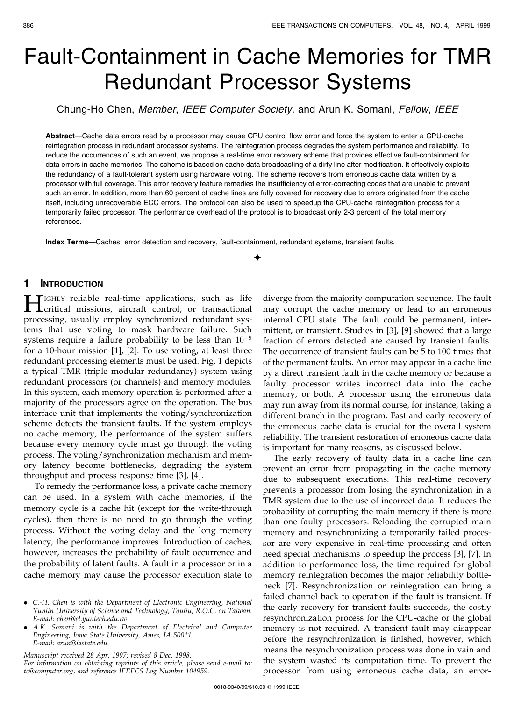# Fault-Containment in Cache Memories for TMR Redundant Processor Systems

Chung-Ho Chen, Member, IEEE Computer Society, and Arun K. Somani, Fellow, IEEE

Abstract—Cache data errors read by a processor may cause CPU control flow error and force the system to enter a CPU-cache reintegration process in redundant processor systems. The reintegration process degrades the system performance and reliability. To reduce the occurrences of such an event, we propose a real-time error recovery scheme that provides effective fault-containment for data errors in cache memories. The scheme is based on cache data broadcasting of a dirty line after modification. It effectively exploits the redundancy of a fault-tolerant system using hardware voting. The scheme recovers from erroneous cache data written by a processor with full coverage. This error recovery feature remedies the insufficiency of error-correcting codes that are unable to prevent such an error. In addition, more than 60 percent of cache lines are fully covered for recovery due to errors originated from the cache itself, including unrecoverable ECC errors. The protocol can also be used to speedup the CPU-cache reintegration process for a temporarily failed processor. The performance overhead of the protocol is to broadcast only 2-3 percent of the total memory references.

 $\blacklozenge$ 

Index Terms-Caches, error detection and recovery, fault-containment, redundant systems, transient faults.

## 1 INTRODUCTION

**H**IGHLY reliable real-time applications, such as life<br>critical missions, aircraft control, or transactional<br>managements consiliated and product conprocessing, usually employ synchronized redundant systems that use voting to mask hardware failure. Such systems require a failure probability to be less than  $10^{-9}$ for a 10-hour mission [1], [2]. To use voting, at least three redundant processing elements must be used. Fig. 1 depicts a typical TMR (triple modular redundancy) system using redundant processors (or channels) and memory modules. In this system, each memory operation is performed after a majority of the processors agree on the operation. The bus interface unit that implements the voting/synchronization scheme detects the transient faults. If the system employs no cache memory, the performance of the system suffers because every memory cycle must go through the voting process. The voting/synchronization mechanism and memory latency become bottlenecks, degrading the system throughput and process response time [3], [4].

To remedy the performance loss, a private cache memory can be used. In a system with cache memories, if the memory cycle is a cache hit (except for the write-through cycles), then there is no need to go through the voting process. Without the voting delay and the long memory latency, the performance improves. Introduction of caches, however, increases the probability of fault occurrence and the probability of latent faults. A fault in a processor or in a cache memory may cause the processor execution state to

Manuscript received 28 Apr. 1997; revised 8 Dec. 1998.

For information on obtaining reprints of this article, please send e-mail to: tc@computer.org, and reference IEEECS Log Number 104959.

diverge from the majority computation sequence. The fault may corrupt the cache memory or lead to an erroneous internal CPU state. The fault could be permanent, intermittent, or transient. Studies in [3], [9] showed that a large fraction of errors detected are caused by transient faults. The occurrence of transient faults can be 5 to 100 times that of the permanent faults. An error may appear in a cache line by a direct transient fault in the cache memory or because a faulty processor writes incorrect data into the cache memory, or both. A processor using the erroneous data may run away from its normal course, for instance, taking a different branch in the program. Fast and early recovery of the erroneous cache data is crucial for the overall system reliability. The transient restoration of erroneous cache data is important for many reasons, as discussed below.

The early recovery of faulty data in a cache line can prevent an error from propagating in the cache memory due to subsequent executions. This real-time recovery prevents a processor from losing the synchronization in a TMR system due to the use of incorrect data. It reduces the probability of corrupting the main memory if there is more than one faulty processors. Reloading the corrupted main memory and resynchronizing a temporarily failed processor are very expensive in real-time processing and often need special mechanisms to speedup the process [3], [7]. In addition to performance loss, the time required for global memory reintegration becomes the major reliability bottleneck [7]. Resynchronization or reintegration can bring a failed channel back to operation if the fault is transient. If the early recovery for transient faults succeeds, the costly resynchronization process for the CPU-cache or the global memory is not required. A transient fault may disappear before the resynchronization is finished, however, which means the resynchronization process was done in vain and the system wasted its computation time. To prevent the processor from using erroneous cache data, an error-

<sup>.</sup> C.-H. Chen is with the Department of Electronic Engineering, National Yunlin University of Science and Technology, Touliu, R.O.C. on Taiwan. E-mail: chen@el.yuntech.edu.tw.

<sup>.</sup> A.K. Somani is with the Department of Electrical and Computer Engineering, Iowa State University, Ames, IA 50011. E-mail: arun@iastate.edu.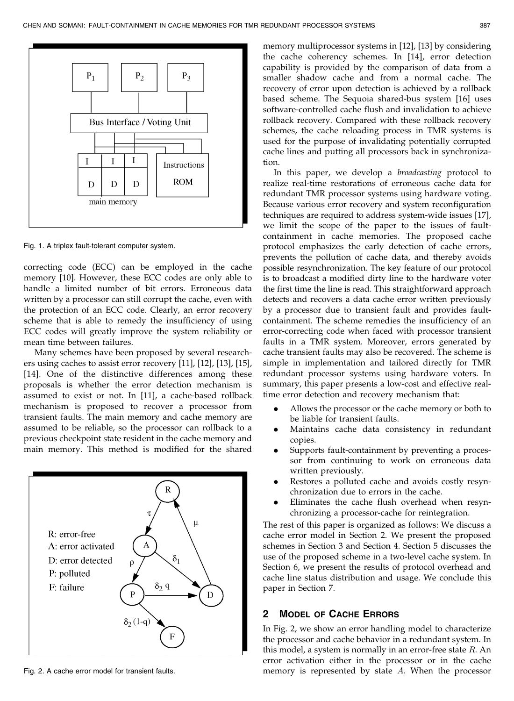

Fig. 1. A triplex fault-tolerant computer system.

correcting code (ECC) can be employed in the cache memory [10]. However, these ECC codes are only able to handle a limited number of bit errors. Erroneous data written by a processor can still corrupt the cache, even with the protection of an ECC code. Clearly, an error recovery scheme that is able to remedy the insufficiency of using ECC codes will greatly improve the system reliability or mean time between failures.

Many schemes have been proposed by several researchers using caches to assist error recovery [11], [12], [13], [15], [14]. One of the distinctive differences among these proposals is whether the error detection mechanism is assumed to exist or not. In [11], a cache-based rollback mechanism is proposed to recover a processor from transient faults. The main memory and cache memory are assumed to be reliable, so the processor can rollback to a previous checkpoint state resident in the cache memory and main memory. This method is modified for the shared



Fig. 2. A cache error model for transient faults.

memory multiprocessor systems in [12], [13] by considering the cache coherency schemes. In [14], error detection capability is provided by the comparison of data from a smaller shadow cache and from a normal cache. The recovery of error upon detection is achieved by a rollback based scheme. The Sequoia shared-bus system [16] uses software-controlled cache flush and invalidation to achieve rollback recovery. Compared with these rollback recovery schemes, the cache reloading process in TMR systems is used for the purpose of invalidating potentially corrupted cache lines and putting all processors back in synchronization.

In this paper, we develop a broadcasting protocol to realize real-time restorations of erroneous cache data for redundant TMR processor systems using hardware voting. Because various error recovery and system reconfiguration techniques are required to address system-wide issues [17], we limit the scope of the paper to the issues of faultcontainment in cache memories. The proposed cache protocol emphasizes the early detection of cache errors, prevents the pollution of cache data, and thereby avoids possible resynchronization. The key feature of our protocol is to broadcast a modified dirty line to the hardware voter the first time the line is read. This straightforward approach detects and recovers a data cache error written previously by a processor due to transient fault and provides faultcontainment. The scheme remedies the insufficiency of an error-correcting code when faced with processor transient faults in a TMR system. Moreover, errors generated by cache transient faults may also be recovered. The scheme is simple in implementation and tailored directly for TMR redundant processor systems using hardware voters. In summary, this paper presents a low-cost and effective realtime error detection and recovery mechanism that:

- . Allows the processor or the cache memory or both to be liable for transient faults.
- . Maintains cache data consistency in redundant copies.
- . Supports fault-containment by preventing a processor from continuing to work on erroneous data written previously.
- . Restores a polluted cache and avoids costly resynchronization due to errors in the cache.
- . Eliminates the cache flush overhead when resynchronizing a processor-cache for reintegration.

The rest of this paper is organized as follows: We discuss a cache error model in Section 2. We present the proposed schemes in Section 3 and Section 4. Section 5 discusses the use of the proposed scheme in a two-level cache system. In Section 6, we present the results of protocol overhead and cache line status distribution and usage. We conclude this paper in Section 7.

## 2 MODEL OF CACHE ERRORS

In Fig. 2, we show an error handling model to characterize the processor and cache behavior in a redundant system. In this model, a system is normally in an error-free state  $R$ . An error activation either in the processor or in the cache memory is represented by state A. When the processor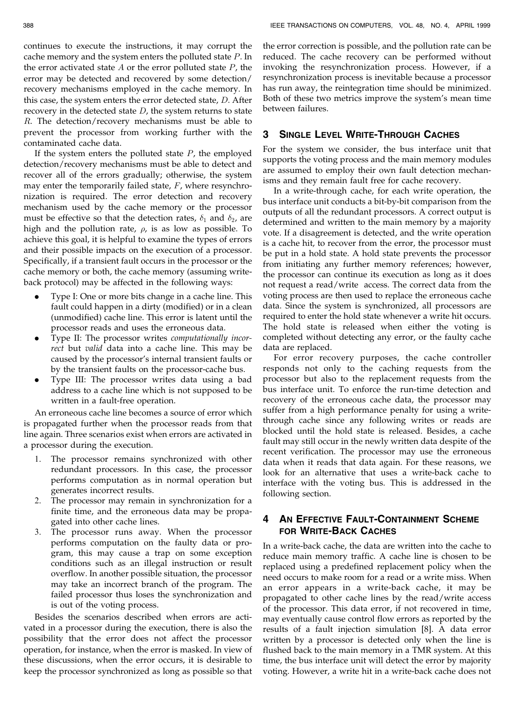continues to execute the instructions, it may corrupt the cache memory and the system enters the polluted state P. In the error activated state  $A$  or the error polluted state  $P$ , the error may be detected and recovered by some detection/ recovery mechanisms employed in the cache memory. In this case, the system enters the error detected state, D. After recovery in the detected state  $D$ , the system returns to state R. The detection/recovery mechanisms must be able to prevent the processor from working further with the contaminated cache data.

If the system enters the polluted state  $P$ , the employed detection/recovery mechanisms must be able to detect and recover all of the errors gradually; otherwise, the system may enter the temporarily failed state,  $F$ , where resynchronization is required. The error detection and recovery mechanism used by the cache memory or the processor must be effective so that the detection rates,  $\delta_1$  and  $\delta_2$ , are high and the pollution rate,  $\rho$ , is as low as possible. To achieve this goal, it is helpful to examine the types of errors and their possible impacts on the execution of a processor. Specifically, if a transient fault occurs in the processor or the cache memory or both, the cache memory (assuming writeback protocol) may be affected in the following ways:

- . Type I: One or more bits change in a cache line. This fault could happen in a dirty (modified) or in a clean (unmodified) cache line. This error is latent until the processor reads and uses the erroneous data.
- Type II: The processor writes *computationally incor*rect but valid data into a cache line. This may be caused by the processor's internal transient faults or by the transient faults on the processor-cache bus.
- . Type III: The processor writes data using a bad address to a cache line which is not supposed to be written in a fault-free operation.

An erroneous cache line becomes a source of error which is propagated further when the processor reads from that line again. Three scenarios exist when errors are activated in a processor during the execution.

- 1. The processor remains synchronized with other redundant processors. In this case, the processor performs computation as in normal operation but generates incorrect results.
- 2. The processor may remain in synchronization for a finite time, and the erroneous data may be propagated into other cache lines.
- 3. The processor runs away. When the processor performs computation on the faulty data or program, this may cause a trap on some exception conditions such as an illegal instruction or result overflow. In another possible situation, the processor may take an incorrect branch of the program. The failed processor thus loses the synchronization and is out of the voting process.

Besides the scenarios described when errors are activated in a processor during the execution, there is also the possibility that the error does not affect the processor operation, for instance, when the error is masked. In view of these discussions, when the error occurs, it is desirable to keep the processor synchronized as long as possible so that

the error correction is possible, and the pollution rate can be reduced. The cache recovery can be performed without invoking the resynchronization process. However, if a resynchronization process is inevitable because a processor has run away, the reintegration time should be minimized. Both of these two metrics improve the system's mean time between failures.

## 3 SINGLE LEVEL WRITE-THROUGH CACHES

For the system we consider, the bus interface unit that supports the voting process and the main memory modules are assumed to employ their own fault detection mechanisms and they remain fault free for cache recovery.

In a write-through cache, for each write operation, the bus interface unit conducts a bit-by-bit comparison from the outputs of all the redundant processors. A correct output is determined and written to the main memory by a majority vote. If a disagreement is detected, and the write operation is a cache hit, to recover from the error, the processor must be put in a hold state. A hold state prevents the processor from initiating any further memory references; however, the processor can continue its execution as long as it does not request a read/write access. The correct data from the voting process are then used to replace the erroneous cache data. Since the system is synchronized, all processors are required to enter the hold state whenever a write hit occurs. The hold state is released when either the voting is completed without detecting any error, or the faulty cache data are replaced.

For error recovery purposes, the cache controller responds not only to the caching requests from the processor but also to the replacement requests from the bus interface unit. To enforce the run-time detection and recovery of the erroneous cache data, the processor may suffer from a high performance penalty for using a writethrough cache since any following writes or reads are blocked until the hold state is released. Besides, a cache fault may still occur in the newly written data despite of the recent verification. The processor may use the erroneous data when it reads that data again. For these reasons, we look for an alternative that uses a write-back cache to interface with the voting bus. This is addressed in the following section.

# 4 AN EFFECTIVE FAULT-CONTAINMENT SCHEME FOR WRITE-BACK CACHES

In a write-back cache, the data are written into the cache to reduce main memory traffic. A cache line is chosen to be replaced using a predefined replacement policy when the need occurs to make room for a read or a write miss. When an error appears in a write-back cache, it may be propagated to other cache lines by the read/write access of the processor. This data error, if not recovered in time, may eventually cause control flow errors as reported by the results of a fault injection simulation [8]. A data error written by a processor is detected only when the line is flushed back to the main memory in a TMR system. At this time, the bus interface unit will detect the error by majority voting. However, a write hit in a write-back cache does not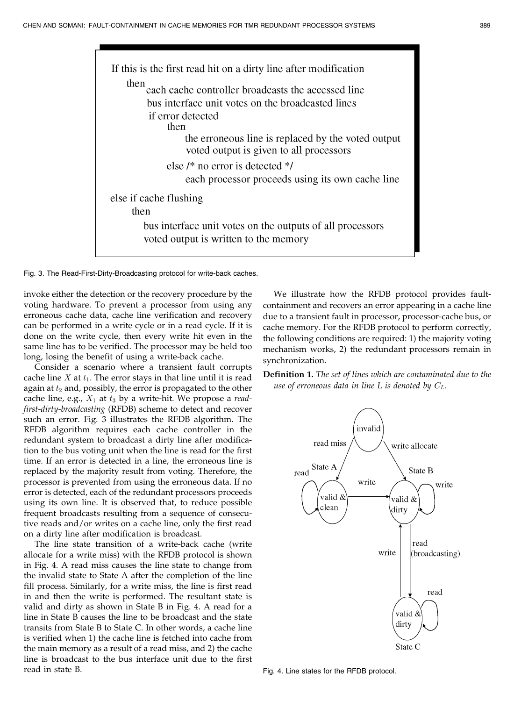| If this is the first read hit on a dirty line after modification                              |
|-----------------------------------------------------------------------------------------------|
| then<br>each cache controller broadcasts the accessed line                                    |
| bus interface unit votes on the broadcasted lines                                             |
| if error detected                                                                             |
| then                                                                                          |
| the erroneous line is replaced by the voted output<br>voted output is given to all processors |
| else /* no error is detected */                                                               |
| each processor proceeds using its own cache line                                              |
| else if cache flushing                                                                        |
| then                                                                                          |
| bus interface unit votes on the outputs of all processors                                     |
| voted output is written to the memory                                                         |
|                                                                                               |

Fig. 3. The Read-First-Dirty-Broadcasting protocol for write-back caches.

invoke either the detection or the recovery procedure by the voting hardware. To prevent a processor from using any erroneous cache data, cache line verification and recovery can be performed in a write cycle or in a read cycle. If it is done on the write cycle, then every write hit even in the same line has to be verified. The processor may be held too long, losing the benefit of using a write-back cache.

Consider a scenario where a transient fault corrupts cache line  $X$  at  $t_1$ . The error stays in that line until it is read again at  $t_2$  and, possibly, the error is propagated to the other cache line, e.g.,  $X_1$  at  $t_3$  by a write-hit. We propose a readfirst-dirty-broadcasting (RFDB) scheme to detect and recover such an error. Fig. 3 illustrates the RFDB algorithm. The RFDB algorithm requires each cache controller in the redundant system to broadcast a dirty line after modification to the bus voting unit when the line is read for the first time. If an error is detected in a line, the erroneous line is replaced by the majority result from voting. Therefore, the processor is prevented from using the erroneous data. If no error is detected, each of the redundant processors proceeds using its own line. It is observed that, to reduce possible frequent broadcasts resulting from a sequence of consecutive reads and/or writes on a cache line, only the first read on a dirty line after modification is broadcast.

The line state transition of a write-back cache (write allocate for a write miss) with the RFDB protocol is shown in Fig. 4. A read miss causes the line state to change from the invalid state to State A after the completion of the line fill process. Similarly, for a write miss, the line is first read in and then the write is performed. The resultant state is valid and dirty as shown in State B in Fig. 4. A read for a line in State B causes the line to be broadcast and the state transits from State B to State C. In other words, a cache line is verified when 1) the cache line is fetched into cache from the main memory as a result of a read miss, and 2) the cache line is broadcast to the bus interface unit due to the first read in state B.

We illustrate how the RFDB protocol provides faultcontainment and recovers an error appearing in a cache line due to a transient fault in processor, processor-cache bus, or cache memory. For the RFDB protocol to perform correctly, the following conditions are required: 1) the majority voting mechanism works, 2) the redundant processors remain in synchronization.

Definition 1. The set of lines which are contaminated due to the use of erroneous data in line L is denoted by  $C_L$ .



Fig. 4. Line states for the RFDB protocol.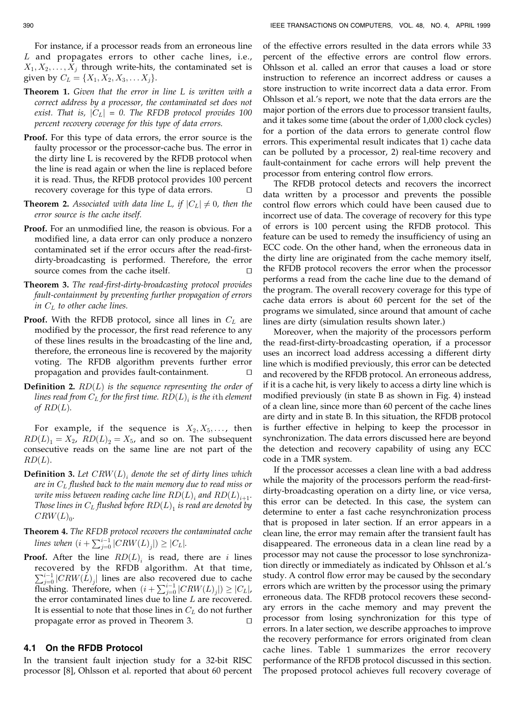For instance, if a processor reads from an erroneous line L and propagates errors to other cache lines, i.e.,  $X_1, X_2, \ldots, X_j$  through write-hits, the contaminated set is given by  $C_L = \{X_1, X_2, X_3, \ldots X_j\}.$ 

- **Theorem 1.** Given that the error in line L is written with a correct address by a processor, the contaminated set does not exist. That is,  $|C_L| = 0$ . The RFDB protocol provides 100 percent recovery coverage for this type of data errors.
- Proof. For this type of data errors, the error source is the faulty processor or the processor-cache bus. The error in the dirty line L is recovered by the RFDB protocol when the line is read again or when the line is replaced before it is read. Thus, the RFDB protocol provides 100 percent recovery coverage for this type of data errors.
- **Theorem 2.** Associated with data line L, if  $|C_L| \neq 0$ , then the error source is the cache itself.
- Proof. For an unmodified line, the reason is obvious. For a modified line, a data error can only produce a nonzero contaminated set if the error occurs after the read-firstdirty-broadcasting is performed. Therefore, the error source comes from the cache itself.
- Theorem 3. The read-first-dirty-broadcasting protocol provides fault-containment by preventing further propagation of errors in  $C_L$  to other cache lines.
- **Proof.** With the RFDB protocol, since all lines in  $C<sub>L</sub>$  are modified by the processor, the first read reference to any of these lines results in the broadcasting of the line and, therefore, the erroneous line is recovered by the majority voting. The RFDB algorithm prevents further error propagation and provides fault-containment.  $\Box$
- **Definition 2.**  $RD(L)$  is the sequence representing the order of lines read from  $C_L$  for the first time.  $RD(L)$  is the ith element of  $RD(L)$ .

For example, if the sequence is  $X_2, X_5, \ldots$ , then  $RD(L)<sub>1</sub> = X<sub>2</sub>$ ,  $RD(L)<sub>2</sub> = X<sub>5</sub>$ , and so on. The subsequent consecutive reads on the same line are not part of the  $RD(L)$ .

- **Definition 3.** Let  $CRW(L)$  denote the set of dirty lines which are in  $C_L$  flushed back to the main memory due to read miss or write miss between reading cache line  $RD(L)$  and  $RD(L)$ <sub>i+1</sub>. Those lines in  $C_L$  flushed before  $RD(L)_1$  is read are denoted by  $CRW(L)<sub>0</sub>$ .
- Theorem 4. The RFDB protocol recovers the contaminated cache lines when  $(i + \sum_{j=0}^{i-1} |CRW(L)_j|) \geq |C_L|$ .
- **Proof.** After the line  $RD(L)$  is read, there are i lines recovered by the RFDB algorithm. At that time,  $\sum_{j=0}^{i-1} |CRW(L)_j|$  lines are also recovered due to cache flushing. Therefore, when  $(i + \sum_{j=0}^{i-1} |CRW(L)_j|) \geq |C_L|$ , the error contaminated lines due to line L are recovered. It is essential to note that those lines in  $C_L$  do not further propagate error as proved in Theorem 3.  $\Box$

# 4.1 On the RFDB Protocol

In the transient fault injection study for a 32-bit RISC processor [8], Ohlsson et al. reported that about 60 percent of the effective errors resulted in the data errors while 33 percent of the effective errors are control flow errors. Ohlsson et al. called an error that causes a load or store instruction to reference an incorrect address or causes a store instruction to write incorrect data a data error. From Ohlsson et al.'s report, we note that the data errors are the major portion of the errors due to processor transient faults, and it takes some time (about the order of 1,000 clock cycles) for a portion of the data errors to generate control flow errors. This experimental result indicates that 1) cache data can be polluted by a processor, 2) real-time recovery and fault-containment for cache errors will help prevent the processor from entering control flow errors.

The RFDB protocol detects and recovers the incorrect data written by a processor and prevents the possible control flow errors which could have been caused due to incorrect use of data. The coverage of recovery for this type of errors is 100 percent using the RFDB protocol. This feature can be used to remedy the insufficiency of using an ECC code. On the other hand, when the erroneous data in the dirty line are originated from the cache memory itself, the RFDB protocol recovers the error when the processor performs a read from the cache line due to the demand of the program. The overall recovery coverage for this type of cache data errors is about 60 percent for the set of the programs we simulated, since around that amount of cache lines are dirty (simulation results shown later.)

Moreover, when the majority of the processors perform the read-first-dirty-broadcasting operation, if a processor uses an incorrect load address accessing a different dirty line which is modified previously, this error can be detected and recovered by the RFDB protocol. An erroneous address, if it is a cache hit, is very likely to access a dirty line which is modified previously (in state B as shown in Fig. 4) instead of a clean line, since more than 60 percent of the cache lines are dirty and in state B. In this situation, the RFDB protocol is further effective in helping to keep the processor in synchronization. The data errors discussed here are beyond the detection and recovery capability of using any ECC code in a TMR system.

If the processor accesses a clean line with a bad address while the majority of the processors perform the read-firstdirty-broadcasting operation on a dirty line, or vice versa, this error can be detected. In this case, the system can determine to enter a fast cache resynchronization process that is proposed in later section. If an error appears in a clean line, the error may remain after the transient fault has disappeared. The erroneous data in a clean line read by a processor may not cause the processor to lose synchronization directly or immediately as indicated by Ohlsson et al.'s study. A control flow error may be caused by the secondary errors which are written by the processor using the primary erroneous data. The RFDB protocol recovers these secondary errors in the cache memory and may prevent the processor from losing synchronization for this type of errors. In a later section, we describe approaches to improve the recovery performance for errors originated from clean cache lines. Table 1 summarizes the error recovery performance of the RFDB protocol discussed in this section. The proposed protocol achieves full recovery coverage of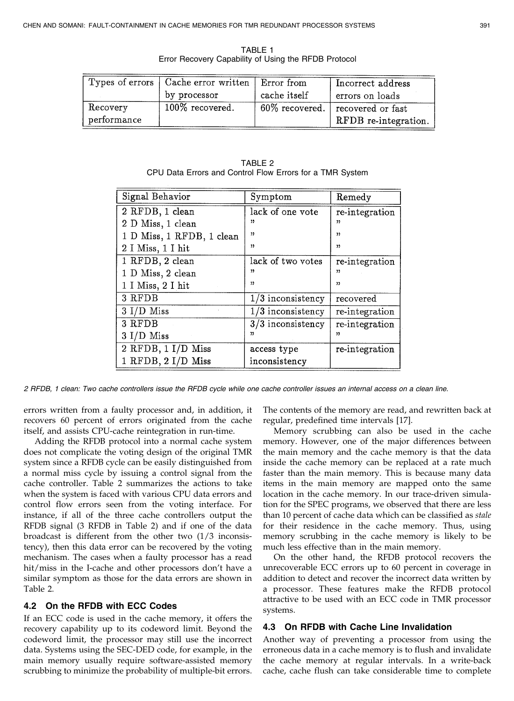|             | Types of errors   Cache error written   Error from |              | Incorrect address                 |
|-------------|----------------------------------------------------|--------------|-----------------------------------|
|             | by processor                                       | cache itself | errors on loads                   |
| Recovery    | 100% recovered.                                    |              | 60% recovered. Trecovered or fast |
| performance |                                                    |              | RFDB re-integration.              |

TABLE 1 Error Recovery Capability of Using the RFDB Protocol

TABLE 2 CPU Data Errors and Control Flow Errors for a TMR System

| Signal Behavior           | Symptom                    | Remedy                  |
|---------------------------|----------------------------|-------------------------|
| 2 RFDB, 1 clean           | lack of one vote           | re-integration          |
| 2 D Miss, 1 clean         | "                          | "                       |
| 1 D Miss, 1 RFDB, 1 clean | ,,                         | , 2                     |
| 2 I Miss, 1 I hit         | "                          | $\overline{\mathbf{z}}$ |
| 1 RFDB, 2 clean           | lack of two votes          | re-integration          |
| 1 D Miss, 2 clean         | "                          | "                       |
| 1 I Miss, 2 I hit         | , 2                        | "                       |
| 3 RFDB                    | $1/3$ inconsistency        | recovered               |
| $3$ I/D Miss              | $1/3$ inconsistency        | re-integration          |
| 3 RFDB                    | $3/3$ inconsistency        | re-integration          |
| $3 I/D$ Miss              | $\boldsymbol{\mathcal{D}}$ | "                       |
| $2$ RFDB, $1$ I/D Miss    | access type                | re-integration          |
| 1 RFDB, 2 I/D Miss        | inconsistency              |                         |

2 RFDB, 1 clean: Two cache controllers issue the RFDB cycle while one cache controller issues an internal access on a clean line.

errors written from a faulty processor and, in addition, it recovers 60 percent of errors originated from the cache itself, and assists CPU-cache reintegration in run-time.

Adding the RFDB protocol into a normal cache system does not complicate the voting design of the original TMR system since a RFDB cycle can be easily distinguished from a normal miss cycle by issuing a control signal from the cache controller. Table 2 summarizes the actions to take when the system is faced with various CPU data errors and control flow errors seen from the voting interface. For instance, if all of the three cache controllers output the RFDB signal (3 RFDB in Table 2) and if one of the data broadcast is different from the other two (1/3 inconsistency), then this data error can be recovered by the voting mechanism. The cases when a faulty processor has a read hit/miss in the I-cache and other processors don't have a similar symptom as those for the data errors are shown in Table 2.

#### 4.2 On the RFDB with ECC Codes

If an ECC code is used in the cache memory, it offers the recovery capability up to its codeword limit. Beyond the codeword limit, the processor may still use the incorrect data. Systems using the SEC-DED code, for example, in the main memory usually require software-assisted memory scrubbing to minimize the probability of multiple-bit errors. The contents of the memory are read, and rewritten back at regular, predefined time intervals [17].

Memory scrubbing can also be used in the cache memory. However, one of the major differences between the main memory and the cache memory is that the data inside the cache memory can be replaced at a rate much faster than the main memory. This is because many data items in the main memory are mapped onto the same location in the cache memory. In our trace-driven simulation for the SPEC programs, we observed that there are less than 10 percent of cache data which can be classified as stale for their residence in the cache memory. Thus, using memory scrubbing in the cache memory is likely to be much less effective than in the main memory.

On the other hand, the RFDB protocol recovers the unrecoverable ECC errors up to 60 percent in coverage in addition to detect and recover the incorrect data written by a processor. These features make the RFDB protocol attractive to be used with an ECC code in TMR processor systems.

#### 4.3 On RFDB with Cache Line Invalidation

Another way of preventing a processor from using the erroneous data in a cache memory is to flush and invalidate the cache memory at regular intervals. In a write-back cache, cache flush can take considerable time to complete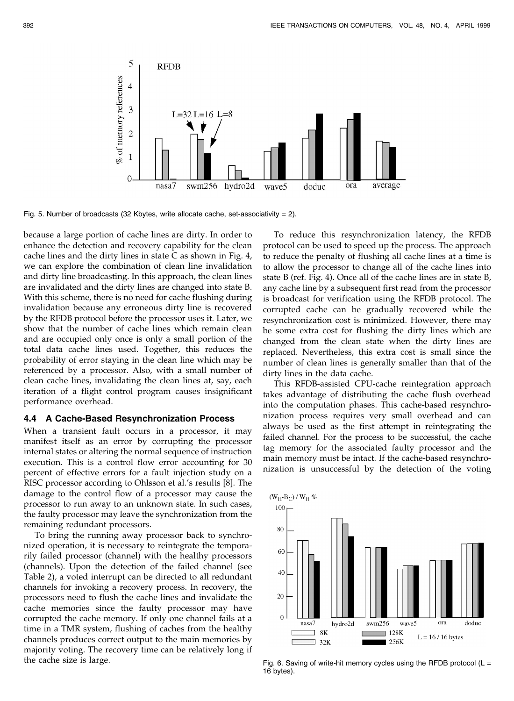

Fig. 5. Number of broadcasts (32 Kbytes, write allocate cache, set-associativity =  $2$ ).

because a large portion of cache lines are dirty. In order to enhance the detection and recovery capability for the clean cache lines and the dirty lines in state C as shown in Fig. 4, we can explore the combination of clean line invalidation and dirty line broadcasting. In this approach, the clean lines are invalidated and the dirty lines are changed into state B. With this scheme, there is no need for cache flushing during invalidation because any erroneous dirty line is recovered by the RFDB protocol before the processor uses it. Later, we show that the number of cache lines which remain clean and are occupied only once is only a small portion of the total data cache lines used. Together, this reduces the probability of error staying in the clean line which may be referenced by a processor. Also, with a small number of clean cache lines, invalidating the clean lines at, say, each iteration of a flight control program causes insignificant performance overhead.

#### 4.4 A Cache-Based Resynchronization Process

When a transient fault occurs in a processor, it may manifest itself as an error by corrupting the processor internal states or altering the normal sequence of instruction execution. This is a control flow error accounting for 30 percent of effective errors for a fault injection study on a RISC processor according to Ohlsson et al.'s results [8]. The damage to the control flow of a processor may cause the processor to run away to an unknown state. In such cases, the faulty processor may leave the synchronization from the remaining redundant processors.

To bring the running away processor back to synchronized operation, it is necessary to reintegrate the temporarily failed processor (channel) with the healthy processors (channels). Upon the detection of the failed channel (see Table 2), a voted interrupt can be directed to all redundant channels for invoking a recovery process. In recovery, the processors need to flush the cache lines and invalidate the cache memories since the faulty processor may have corrupted the cache memory. If only one channel fails at a time in a TMR system, flushing of caches from the healthy channels produces correct output to the main memories by majority voting. The recovery time can be relatively long if the cache size is large.

To reduce this resynchronization latency, the RFDB protocol can be used to speed up the process. The approach to reduce the penalty of flushing all cache lines at a time is to allow the processor to change all of the cache lines into state B (ref. Fig. 4). Once all of the cache lines are in state B, any cache line by a subsequent first read from the processor is broadcast for verification using the RFDB protocol. The corrupted cache can be gradually recovered while the resynchronization cost is minimized. However, there may be some extra cost for flushing the dirty lines which are changed from the clean state when the dirty lines are replaced. Nevertheless, this extra cost is small since the number of clean lines is generally smaller than that of the dirty lines in the data cache.

This RFDB-assisted CPU-cache reintegration approach takes advantage of distributing the cache flush overhead into the computation phases. This cache-based resynchronization process requires very small overhead and can always be used as the first attempt in reintegrating the failed channel. For the process to be successful, the cache tag memory for the associated faulty processor and the main memory must be intact. If the cache-based resynchronization is unsuccessful by the detection of the voting



Fig. 6. Saving of write-hit memory cycles using the RFDB protocol ( $L =$ 16 bytes).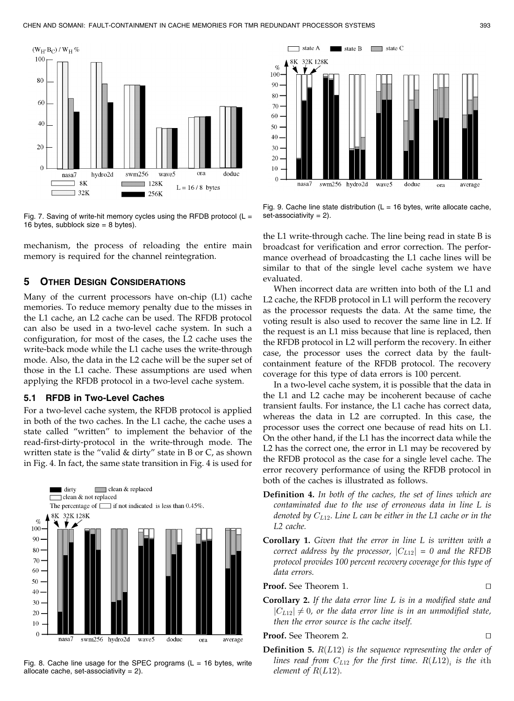

Fig. 7. Saving of write-hit memory cycles using the RFDB protocol ( $L =$ 16 bytes, subblock size  $= 8$  bytes).

mechanism, the process of reloading the entire main memory is required for the channel reintegration.

#### 5 OTHER DESIGN CONSIDERATIONS

Many of the current processors have on-chip (L1) cache memories. To reduce memory penalty due to the misses in the L1 cache, an L2 cache can be used. The RFDB protocol can also be used in a two-level cache system. In such a configuration, for most of the cases, the L2 cache uses the write-back mode while the L1 cache uses the write-through mode. Also, the data in the L2 cache will be the super set of those in the L1 cache. These assumptions are used when applying the RFDB protocol in a two-level cache system.

#### 5.1 RFDB in Two-Level Caches

For a two-level cache system, the RFDB protocol is applied in both of the two caches. In the L1 cache, the cache uses a state called "written" to implement the behavior of the read-first-dirty-protocol in the write-through mode. The written state is the "valid  $&$  dirty" state in B or C, as shown in Fig. 4. In fact, the same state transition in Fig. 4 is used for



Fig. 8. Cache line usage for the SPEC programs ( $L = 16$  bytes, write allocate cache, set-associativity  $= 2$ ).



Fig. 9. Cache line state distribution ( $L = 16$  bytes, write allocate cache, set-associativity  $= 2$ ).

the L1 write-through cache. The line being read in state B is broadcast for verification and error correction. The performance overhead of broadcasting the L1 cache lines will be similar to that of the single level cache system we have evaluated.

When incorrect data are written into both of the L1 and L2 cache, the RFDB protocol in L1 will perform the recovery as the processor requests the data. At the same time, the voting result is also used to recover the same line in L2. If the request is an L1 miss because that line is replaced, then the RFDB protocol in L2 will perform the recovery. In either case, the processor uses the correct data by the faultcontainment feature of the RFDB protocol. The recovery coverage for this type of data errors is 100 percent.

In a two-level cache system, it is possible that the data in the L1 and L2 cache may be incoherent because of cache transient faults. For instance, the L1 cache has correct data, whereas the data in L2 are corrupted. In this case, the processor uses the correct one because of read hits on L1. On the other hand, if the L1 has the incorrect data while the L2 has the correct one, the error in L1 may be recovered by the RFDB protocol as the case for a single level cache. The error recovery performance of using the RFDB protocol in both of the caches is illustrated as follows.

- Definition 4. In both of the caches, the set of lines which are contaminated due to the use of erroneous data in line L is denoted by  $C_{L12}$ . Line L can be either in the L1 cache or in the L2 cache.
- Corollary 1. Given that the error in line L is written with a correct address by the processor,  $|C_{L12}| = 0$  and the RFDB protocol provides 100 percent recovery coverage for this type of data errors.

**Proof.** See Theorem 1.

**Corollary 2.** If the data error line  $L$  is in a modified state and  $|C_{L12}| \neq 0$ , or the data error line is in an unmodified state, then the error source is the cache itself.

**Proof.** See Theorem 2. 
$$
\Box
$$

**Definition 5.**  $R(L12)$  is the sequence representing the order of lines read from  $C_{L12}$  for the first time.  $R(L12)_i$  is the ith element of  $R(L12)$ .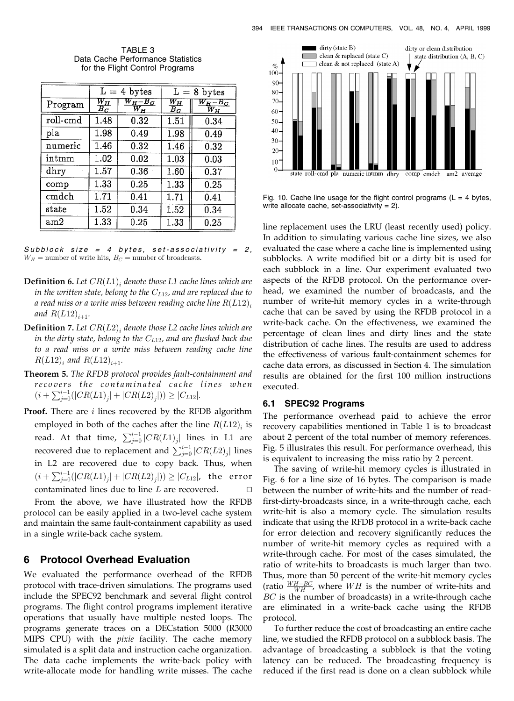|                | $L = 4$ bytes               |                                   | $L = 8$ bytes                                  |                                      |
|----------------|-----------------------------|-----------------------------------|------------------------------------------------|--------------------------------------|
| Program        | $W_H\,$<br>$\overline{B_C}$ | $W_H\!-\!B_C$<br>$\overline{W_H}$ | $W_{\boldsymbol{H}_\perp}$<br>$\overline{B_C}$ | $W_H\text{--}B_G$<br>$\widehat{W}_H$ |
| roll-cmd       | 1.48                        | 0.32                              | 1.51                                           | 0.34                                 |
| $_{\rm pla}$   | 1.98                        | 0.49                              | 1.98                                           | 0.49                                 |
| numeric        | 1.46                        | 0.32                              | 1.46                                           | 0.32                                 |
| $\text{intmm}$ | 1.02                        | 0.02                              | 1.03                                           | 0.03                                 |
| dhry           | 1.57                        | 0.36                              | 1.60                                           | 0.37                                 |
| comp           | 1.33                        | 0.25                              | 1.33                                           | 0.25                                 |
| cmdch          | 1.71                        | 0.41                              | 1.71                                           | 0.41                                 |
| state          | 1.52                        | 0.34                              | 1.52                                           | 0.34                                 |
| $\mathrm{am}2$ | 1.33                        | 0.25                              | 1.33                                           | 0.25                                 |

TABLE 3 Data Cache Performance Statistics for the Flight Control Programs

Subblock size = 4 bytes, set-associativity =  $2$ ,  $W_H$  = number of write hits,  $B_C$  = number of broadcasts.

- **Definition 6.** Let  $CR(L1)$ , denote those L1 cache lines which are in the written state, belong to the  $C_{L12}$ , and are replaced due to a read miss or a write miss between reading cache line  $R(L12)$ , and  $R(L12)_{i+1}$ .
- **Definition 7.** Let  $CR(L2)$ , denote those L2 cache lines which are in the dirty state, belong to the  $C_{L12}$ , and are flushed back due to a read miss or a write miss between reading cache line  $R(L12)$ <sub>i</sub> and  $R(L12)$ <sub>i+1</sub>.
- Theorem 5. The RFDB protocol provides fault-containment and recovers the contaminated cache lines when  $(i + \sum_{j=0}^{i-1} (|CR(L1)_j| + |CR(L2)_j|)) \ge |C_{L12}|.$
- **Proof.** There are  $i$  lines recovered by the RFDB algorithm employed in both of the caches after the line  $R(L12)$  is read. At that time,  $\sum_{j=0}^{i-1} | CR(L1)_{j}|$  lines in <code>L1</code> are recovered due to replacement and  $\sum_{j=0}^{i-1} |CR(L2)_{j}|$  lines in L2 are recovered due to copy back. Thus, when  $(i+\sum_{j=0}^{i-1}(|CR(L1)_j|+|CR(L2)_j|))\geq|C_{L12}|$ , the error contaminated lines due to line  $L$  are recovered.  $\square$

From the above, we have illustrated how the RFDB protocol can be easily applied in a two-level cache system and maintain the same fault-containment capability as used in a single write-back cache system.

## 6 Protocol Overhead Evaluation

We evaluated the performance overhead of the RFDB protocol with trace-driven simulations. The programs used include the SPEC92 benchmark and several flight control programs. The flight control programs implement iterative operations that usually have multiple nested loops. The programs generate traces on a DECstation 5000 (R3000 MIPS CPU) with the *pixie* facility. The cache memory simulated is a split data and instruction cache organization. The data cache implements the write-back policy with write-allocate mode for handling write misses. The cache



Fig. 10. Cache line usage for the flight control programs ( $L = 4$  bytes, write allocate cache, set-associativity  $= 2$ ).

line replacement uses the LRU (least recently used) policy. In addition to simulating various cache line sizes, we also evaluated the case where a cache line is implemented using subblocks. A write modified bit or a dirty bit is used for each subblock in a line. Our experiment evaluated two aspects of the RFDB protocol. On the performance overhead, we examined the number of broadcasts, and the number of write-hit memory cycles in a write-through cache that can be saved by using the RFDB protocol in a write-back cache. On the effectiveness, we examined the percentage of clean lines and dirty lines and the state distribution of cache lines. The results are used to address the effectiveness of various fault-containment schemes for cache data errors, as discussed in Section 4. The simulation results are obtained for the first 100 million instructions executed.

#### 6.1 SPEC92 Programs

The performance overhead paid to achieve the error recovery capabilities mentioned in Table 1 is to broadcast about 2 percent of the total number of memory references. Fig. 5 illustrates this result. For performance overhead, this is equivalent to increasing the miss ratio by 2 percent.

The saving of write-hit memory cycles is illustrated in Fig. 6 for a line size of 16 bytes. The comparison is made between the number of write-hits and the number of readfirst-dirty-broadcasts since, in a write-through cache, each write-hit is also a memory cycle. The simulation results indicate that using the RFDB protocol in a write-back cache for error detection and recovery significantly reduces the number of write-hit memory cycles as required with a write-through cache. For most of the cases simulated, the ratio of write-hits to broadcasts is much larger than two. Thus, more than 50 percent of the write-hit memory cycles (ratio  $\frac{WH - BC}{WH}$ , where  $WH$  is the number of write-hits and  $BC$  is the number of broadcasts) in a write-through cache are eliminated in a write-back cache using the RFDB protocol.

To further reduce the cost of broadcasting an entire cache line, we studied the RFDB protocol on a subblock basis. The advantage of broadcasting a subblock is that the voting latency can be reduced. The broadcasting frequency is reduced if the first read is done on a clean subblock while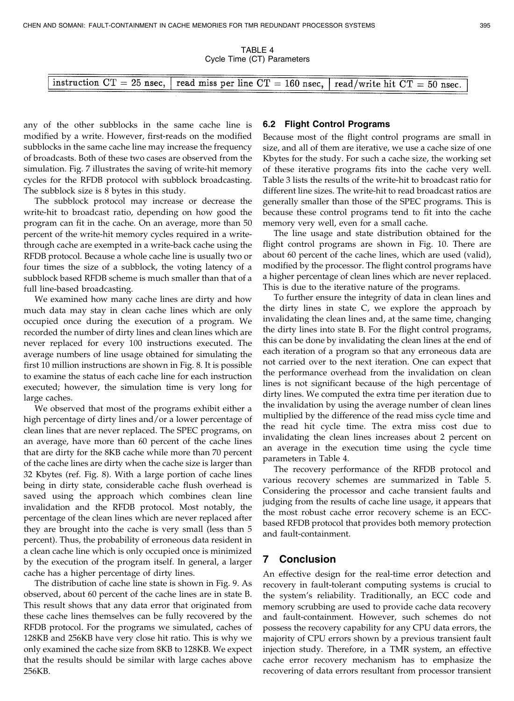|--|

any of the other subblocks in the same cache line is modified by a write. However, first-reads on the modified subblocks in the same cache line may increase the frequency of broadcasts. Both of these two cases are observed from the simulation. Fig. 7 illustrates the saving of write-hit memory cycles for the RFDB protocol with subblock broadcasting. The subblock size is 8 bytes in this study.

The subblock protocol may increase or decrease the write-hit to broadcast ratio, depending on how good the program can fit in the cache. On an average, more than 50 percent of the write-hit memory cycles required in a writethrough cache are exempted in a write-back cache using the RFDB protocol. Because a whole cache line is usually two or four times the size of a subblock, the voting latency of a subblock based RFDB scheme is much smaller than that of a full line-based broadcasting.

We examined how many cache lines are dirty and how much data may stay in clean cache lines which are only occupied once during the execution of a program. We recorded the number of dirty lines and clean lines which are never replaced for every 100 instructions executed. The average numbers of line usage obtained for simulating the first 10 million instructions are shown in Fig. 8. It is possible to examine the status of each cache line for each instruction executed; however, the simulation time is very long for large caches.

We observed that most of the programs exhibit either a high percentage of dirty lines and/or a lower percentage of clean lines that are never replaced. The SPEC programs, on an average, have more than 60 percent of the cache lines that are dirty for the 8KB cache while more than 70 percent of the cache lines are dirty when the cache size is larger than 32 Kbytes (ref. Fig. 8). With a large portion of cache lines being in dirty state, considerable cache flush overhead is saved using the approach which combines clean line invalidation and the RFDB protocol. Most notably, the percentage of the clean lines which are never replaced after they are brought into the cache is very small (less than 5 percent). Thus, the probability of erroneous data resident in a clean cache line which is only occupied once is minimized by the execution of the program itself. In general, a larger cache has a higher percentage of dirty lines.

The distribution of cache line state is shown in Fig. 9. As observed, about 60 percent of the cache lines are in state B. This result shows that any data error that originated from these cache lines themselves can be fully recovered by the RFDB protocol. For the programs we simulated, caches of 128KB and 256KB have very close hit ratio. This is why we only examined the cache size from 8KB to 128KB. We expect that the results should be similar with large caches above 256KB.

## 6.2 Flight Control Programs

Because most of the flight control programs are small in size, and all of them are iterative, we use a cache size of one Kbytes for the study. For such a cache size, the working set of these iterative programs fits into the cache very well. Table 3 lists the results of the write-hit to broadcast ratio for different line sizes. The write-hit to read broadcast ratios are generally smaller than those of the SPEC programs. This is because these control programs tend to fit into the cache memory very well, even for a small cache.

The line usage and state distribution obtained for the flight control programs are shown in Fig. 10. There are about 60 percent of the cache lines, which are used (valid), modified by the processor. The flight control programs have a higher percentage of clean lines which are never replaced. This is due to the iterative nature of the programs.

To further ensure the integrity of data in clean lines and the dirty lines in state C, we explore the approach by invalidating the clean lines and, at the same time, changing the dirty lines into state B. For the flight control programs, this can be done by invalidating the clean lines at the end of each iteration of a program so that any erroneous data are not carried over to the next iteration. One can expect that the performance overhead from the invalidation on clean lines is not significant because of the high percentage of dirty lines. We computed the extra time per iteration due to the invalidation by using the average number of clean lines multiplied by the difference of the read miss cycle time and the read hit cycle time. The extra miss cost due to invalidating the clean lines increases about 2 percent on an average in the execution time using the cycle time parameters in Table 4.

The recovery performance of the RFDB protocol and various recovery schemes are summarized in Table 5. Considering the processor and cache transient faults and judging from the results of cache line usage, it appears that the most robust cache error recovery scheme is an ECCbased RFDB protocol that provides both memory protection and fault-containment.

# 7 Conclusion

An effective design for the real-time error detection and recovery in fault-tolerant computing systems is crucial to the system's reliability. Traditionally, an ECC code and memory scrubbing are used to provide cache data recovery and fault-containment. However, such schemes do not possess the recovery capability for any CPU data errors, the majority of CPU errors shown by a previous transient fault injection study. Therefore, in a TMR system, an effective cache error recovery mechanism has to emphasize the recovering of data errors resultant from processor transient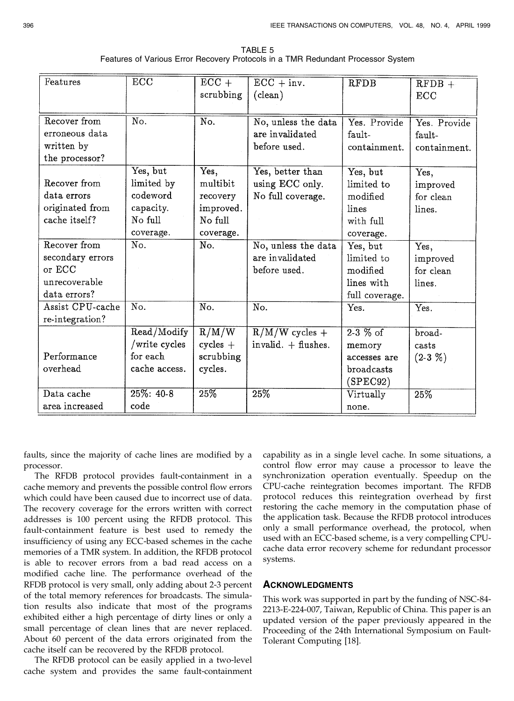| Features         | <b>ECC</b>    | $ECC +$            | $ECC + inv.$             | <b>RFDB</b>    | $RFDB +$     |
|------------------|---------------|--------------------|--------------------------|----------------|--------------|
|                  |               | scrubbing          | (clean)                  |                | ECC          |
|                  |               |                    |                          |                |              |
| Recover from     | No.           | $\overline{No.}$   | No, unless the data      | Yes. Provide   | Yes. Provide |
| erroneous data   |               |                    | are invalidated          | fault-         | fault-       |
| written by       |               |                    | before used.             | containment.   | containment. |
| the processor?   |               |                    |                          |                |              |
|                  | Yes, but      | Yes,               | Yes, better than         | Yes, but       | Yes,         |
| Recover from     | limited by    | multibit           | using ECC only.          | limited to     | improved     |
| data errors      | codeword      | recovery           | No full coverage.        | modified       | for clean    |
| originated from  | capacity.     | improved.          |                          | lines          | lines.       |
| cache itself?    | No full       | No full            |                          | with full      |              |
|                  | coverage.     | coverage.          |                          | coverage.      |              |
| Recover from     | No.           | No.                | No, unless the data      | Yes, but       | Yes,         |
| secondary errors |               |                    | are invalidated          | limited to     | improved     |
| or ECC           |               |                    | before used.             | modified       | for clean    |
| unrecoverable    |               |                    |                          | lines with     | lines.       |
| data errors?     |               |                    |                          | full coverage. |              |
| Assist CPU-cache | No.           | No.                | $\overline{\text{No}}$ . | Yes.           | Yes.         |
| re-integration?  |               |                    |                          |                |              |
|                  | Read/Modify   | $\overline{R/M}/W$ | $R/M/W$ cycles +         | $2-3\%$ of     | broad-       |
|                  | /write cycles | $cycles +$         | invalid. $+$ flushes.    | memory         | casts        |
| Performance      | for each      | scrubbing          |                          | accesses are   | $(2-3, %)$   |
| overhead         | cache access. | cycles.            |                          | broadcasts     |              |
|                  |               |                    |                          | (SPEC92)       |              |
| Data cache       | $25\%: 40-8$  | 25%                | 25%                      | Virtually      | 25%          |
| area increased   | code          |                    |                          | none.          |              |

TABLE 5 Features of Various Error Recovery Protocols in a TMR Redundant Processor System

faults, since the majority of cache lines are modified by a processor.

The RFDB protocol provides fault-containment in a cache memory and prevents the possible control flow errors which could have been caused due to incorrect use of data. The recovery coverage for the errors written with correct addresses is 100 percent using the RFDB protocol. This fault-containment feature is best used to remedy the insufficiency of using any ECC-based schemes in the cache memories of a TMR system. In addition, the RFDB protocol is able to recover errors from a bad read access on a modified cache line. The performance overhead of the RFDB protocol is very small, only adding about 2-3 percent of the total memory references for broadcasts. The simulation results also indicate that most of the programs exhibited either a high percentage of dirty lines or only a small percentage of clean lines that are never replaced. About 60 percent of the data errors originated from the cache itself can be recovered by the RFDB protocol.

The RFDB protocol can be easily applied in a two-level cache system and provides the same fault-containment

capability as in a single level cache. In some situations, a control flow error may cause a processor to leave the synchronization operation eventually. Speedup on the CPU-cache reintegration becomes important. The RFDB protocol reduces this reintegration overhead by first restoring the cache memory in the computation phase of the application task. Because the RFDB protocol introduces only a small performance overhead, the protocol, when used with an ECC-based scheme, is a very compelling CPUcache data error recovery scheme for redundant processor systems.

#### **ACKNOWLEDGMENTS**

This work was supported in part by the funding of NSC-84- 2213-E-224-007, Taiwan, Republic of China. This paper is an updated version of the paper previously appeared in the Proceeding of the 24th International Symposium on Fault-Tolerant Computing [18].